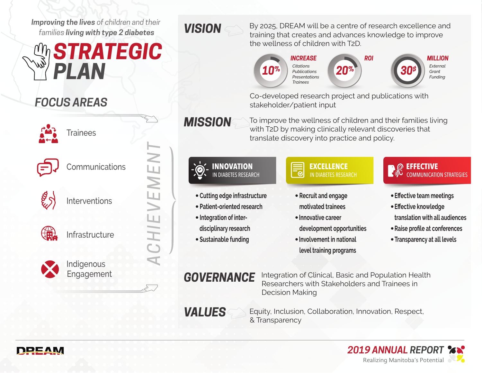*Improving the lives of children and their families living with type 2 diabetes*

# *STRATEGIC PLAN*

# *FOCUS AREAS*



**Trainees** 



**Communications** 



Interventions

*ACHIEVEMENT*CHIEVEMEN



Infrastructure



**Indigenous Engagement** 

# *VISION*

By 2025, DREAM will be a centre of research excellence and training that creates and advances knowledge to improve the wellness of children with T2D.



Co-developed research project and publications with stakeholder/patient input

*MISSION*

To improve the wellness of children and their families living with T2D by making clinically relevant discoveries that translate discovery into practice and policy.



Equity, Inclusion, Collaboration, Innovation, Respect, & Transparency



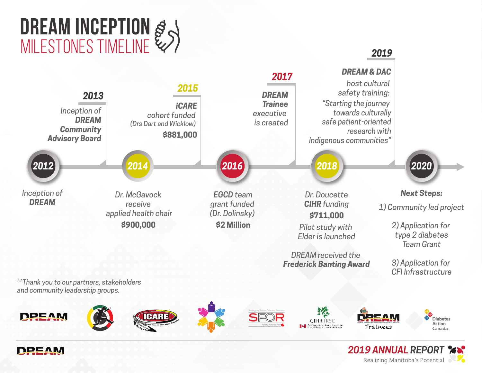





*and community leadership groups.*





**Diabetes** Action

Canada

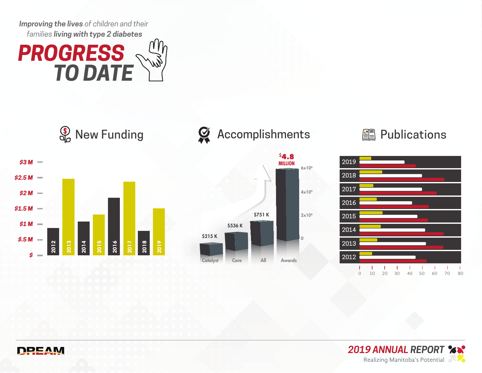*Improving the lives of children and their families living with type 2 diabetes*





# **S** New Funding  $\bullet$  Accomplishments **Publications**









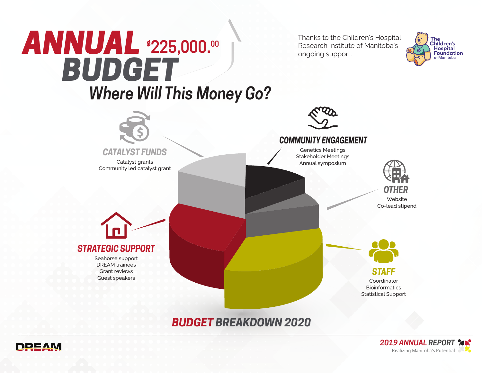

# *BUDGET BREAKDOWN 2020*



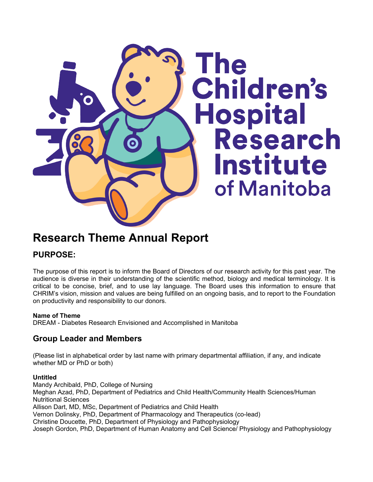

# **Research Theme Annual Report**

## **PURPOSE:**

The purpose of this report is to inform the Board of Directors of our research activity for this past year. The audience is diverse in their understanding of the scientific method, biology and medical terminology. It is critical to be concise, brief, and to use lay language. The Board uses this information to ensure that CHRIM's vision, mission and values are being fulfilled on an ongoing basis, and to report to the Foundation on productivity and responsibility to our donors.

#### **Name of Theme**

DREAM - Diabetes Research Envisioned and Accomplished in Manitoba

### **Group Leader and Members**

(Please list in alphabetical order by last name with primary departmental affiliation, if any, and indicate whether MD or PhD or both)

#### **Untitled**

Mandy Archibald, PhD, College of Nursing Meghan Azad, PhD, Department of Pediatrics and Child Health/Community Health Sciences/Human Nutritional Sciences Allison Dart, MD, MSc, Department of Pediatrics and Child Health Vernon Dolinsky, PhD, Department of Pharmacology and Therapeutics (co-lead) Christine Doucette, PhD, Department of Physiology and Pathophysiology Joseph Gordon, PhD, Department of Human Anatomy and Cell Science/ Physiology and Pathophysiology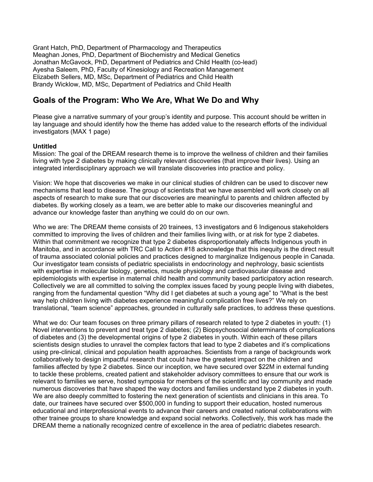Grant Hatch, PhD, Department of Pharmacology and Therapeutics Meaghan Jones, PhD, Department of Biochemistry and Medical Genetics Jonathan McGavock, PhD, Department of Pediatrics and Child Health (co-lead) Ayesha Saleem, PhD, Faculty of Kinesiology and Recreation Management Elizabeth Sellers, MD, MSc, Department of Pediatrics and Child Health Brandy Wicklow, MD, MSc, Department of Pediatrics and Child Health

### **Goals of the Program: Who We Are, What We Do and Why**

Please give a narrative summary of your group's identity and purpose. This account should be written in lay language and should identify how the theme has added value to the research efforts of the individual investigators (MAX 1 page)

#### **Untitled**

Mission: The goal of the DREAM research theme is to improve the wellness of children and their families living with type 2 diabetes by making clinically relevant discoveries (that improve their lives). Using an integrated interdisciplinary approach we will translate discoveries into practice and policy.

Vision: We hope that discoveries we make in our clinical studies of children can be used to discover new mechanisms that lead to disease. The group of scientists that we have assembled will work closely on all aspects of research to make sure that our discoveries are meaningful to parents and children affected by diabetes. By working closely as a team, we are better able to make our discoveries meaningful and advance our knowledge faster than anything we could do on our own.

Who we are: The DREAM theme consists of 20 trainees, 13 investigators and 6 Indigenous stakeholders committed to improving the lives of children and their families living with, or at risk for type 2 diabetes. Within that commitment we recognize that type 2 diabetes disproportionately affects Indigenous youth in Manitoba, and in accordance with TRC Call to Action #18 acknowledge that this inequity is the direct result of trauma associated colonial policies and practices designed to marginalize Indigenous people in Canada. Our investigator team consists of pediatric specialists in endocrinology and nephrology, basic scientists with expertise in molecular biology, genetics, muscle physiology and cardiovascular disease and epidemiologists with expertise in maternal child health and community based participatory action research. Collectively we are all committed to solving the complex issues faced by young people living with diabetes, ranging from the fundamental question "Why did I get diabetes at such a young age" to "What is the best way help children living with diabetes experience meaningful complication free lives?" We rely on translational, "team science" approaches, grounded in culturally safe practices, to address these questions.

What we do: Our team focuses on three primary pillars of research related to type 2 diabetes in youth: (1) Novel interventions to prevent and treat type 2 diabetes; (2) Biopsychosocial determinants of complications of diabetes and (3) the developmental origins of type 2 diabetes in youth. Within each of these pillars scientists design studies to unravel the complex factors that lead to type 2 diabetes and it's complications using pre-clinical, clinical and population health approaches. Scientists from a range of backgrounds work collaboratively to design impactful research that could have the greatest impact on the children and families affected by type 2 diabetes. Since our inception, we have secured over \$22M in external funding to tackle these problems, created patient and stakeholder advisory committees to ensure that our work is relevant to families we serve, hosted symposia for members of the scientific and lay community and made numerous discoveries that have shaped the way doctors and families understand type 2 diabetes in youth. We are also deeply committed to fostering the next generation of scientists and clinicians in this area. To date, our trainees have secured over \$500,000 in funding to support their education, hosted numerous educational and interprofessional events to advance their careers and created national collaborations with other trainee groups to share knowledge and expand social networks. Collectively, this work has made the DREAM theme a nationally recognized centre of excellence in the area of pediatric diabetes research.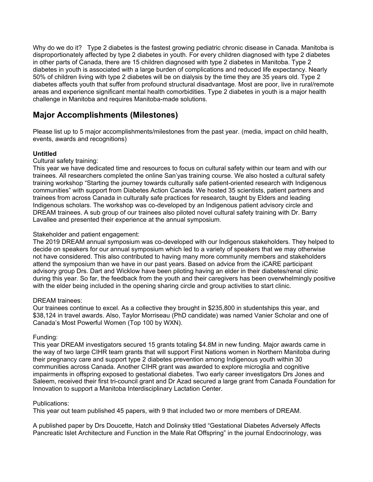Why do we do it? Type 2 diabetes is the fastest growing pediatric chronic disease in Canada. Manitoba is disproportionately affected by type 2 diabetes in youth. For every children diagnosed with type 2 diabetes in other parts of Canada, there are 15 children diagnosed with type 2 diabetes in Manitoba. Type 2 diabetes in youth is associated with a large burden of complications and reduced life expectancy. Nearly 50% of children living with type 2 diabetes will be on dialysis by the time they are 35 years old. Type 2 diabetes affects youth that suffer from profound structural disadvantage. Most are poor, live in rural/remote areas and experience significant mental health comorbidities. Type 2 diabetes in youth is a major health challenge in Manitoba and requires Manitoba-made solutions.

# **Major Accomplishments (Milestones)**

Please list up to 5 major accomplishments/milestones from the past year. (media, impact on child health, events, awards and recognitions)

#### **Untitled**

#### Cultural safety training:

This year we have dedicated time and resources to focus on cultural safety within our team and with our trainees. All researchers completed the online San'yas training course. We also hosted a cultural safety training workshop "Starting the journey towards culturally safe patient-oriented research with Indigenous communities" with support from Diabetes Action Canada. We hosted 35 scientists, patient partners and trainees from across Canada in culturally safe practices for research, taught by Elders and leading Indigenous scholars. The workshop was co-developed by an Indigenous patient advisory circle and DREAM trainees. A sub group of our trainees also piloted novel cultural safety training with Dr. Barry Lavallee and presented their experience at the annual symposium.

#### Stakeholder and patient engagement:

The 2019 DREAM annual symposium was co-developed with our Indigenous stakeholders. They helped to decide on speakers for our annual symposium which led to a variety of speakers that we may otherwise not have considered. This also contributed to having many more community members and stakeholders attend the symposium than we have in our past years. Based on advice from the iCARE participant advisory group Drs. Dart and Wicklow have been piloting having an elder in their diabetes/renal clinic during this year. So far, the feedback from the youth and their caregivers has been overwhelmingly positive with the elder being included in the opening sharing circle and group activities to start clinic.

#### DREAM trainees:

Our trainees continue to excel. As a collective they brought in \$235,800 in studentships this year, and \$38,124 in travel awards. Also, Taylor Morriseau (PhD candidate) was named Vanier Scholar and one of Canada's Most Powerful Women (Top 100 by WXN).

#### Funding:

This year DREAM investigators secured 15 grants totaling \$4.8M in new funding. Major awards came in the way of two large CIHR team grants that will support First Nations women in Northern Manitoba during their pregnancy care and support type 2 diabetes prevention among Indigenous youth within 30 communities across Canada. Another CIHR grant was awarded to explore microglia and cognitive impairments in offspring exposed to gestational diabetes. Two early career investigators Drs Jones and Saleem, received their first tri-council grant and Dr Azad secured a large grant from Canada Foundation for Innovation to support a Manitoba Interdisciplinary Lactation Center.

#### Publications:

This year out team published 45 papers, with 9 that included two or more members of DREAM.

A published paper by Drs Doucette, Hatch and Dolinsky titled "Gestational Diabetes Adversely Affects Pancreatic Islet Architecture and Function in the Male Rat Offspring" in the journal Endocrinology, was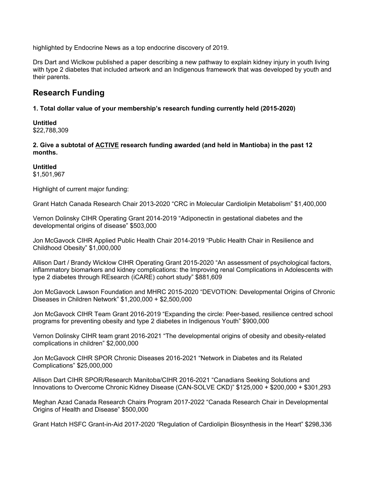highlighted by Endocrine News as a top endocrine discovery of 2019.

Drs Dart and Wiclkow published a paper describing a new pathway to explain kidney injury in youth living with type 2 diabetes that included artwork and an Indigenous framework that was developed by youth and their parents.

### **Research Funding**

#### **1. Total dollar value of your membership's research funding currently held (2015-2020)**

**Untitled** \$22,788,309

**2. Give a subtotal of ACTIVE research funding awarded (and held in Mantioba) in the past 12 months.**

#### **Untitled**

\$1,501,967

Highlight of current major funding:

Grant Hatch Canada Research Chair 2013-2020 "CRC in Molecular Cardiolipin Metabolism" \$1,400,000

Vernon Dolinsky CIHR Operating Grant 2014-2019 "Adiponectin in gestational diabetes and the developmental origins of disease" \$503,000

Jon McGavock CIHR Applied Public Health Chair 2014-2019 "Public Health Chair in Resilience and Childhood Obesity" \$1,000,000

Allison Dart / Brandy Wicklow CIHR Operating Grant 2015-2020 "An assessment of psychological factors, inflammatory biomarkers and kidney complications: the Improving renal Complications in Adolescents with type 2 diabetes through REsearch (iCARE) cohort study" \$881,609

Jon McGavock Lawson Foundation and MHRC 2015-2020 "DEVOTION: Developmental Origins of Chronic Diseases in Children Network" \$1,200,000 + \$2,500,000

Jon McGavock CIHR Team Grant 2016-2019 "Expanding the circle: Peer-based, resilience centred school programs for preventing obesity and type 2 diabetes in Indigenous Youth" \$900,000

Vernon Dolinsky CIHR team grant 2016-2021 "The developmental origins of obesity and obesity-related complications in children" \$2,000,000

Jon McGavock CIHR SPOR Chronic Diseases 2016-2021 "Network in Diabetes and its Related Complications" \$25,000,000

Allison Dart CIHR SPOR/Research Manitoba/CIHR 2016-2021 "Canadians Seeking Solutions and Innovations to Overcome Chronic Kidney Disease (CAN-SOLVE CKD)" \$125,000 + \$200,000 + \$301,293

Meghan Azad Canada Research Chairs Program 2017-2022 "Canada Research Chair in Developmental Origins of Health and Disease" \$500,000

Grant Hatch HSFC Grant-in-Aid 2017-2020 "Regulation of Cardiolipin Biosynthesis in the Heart" \$298,336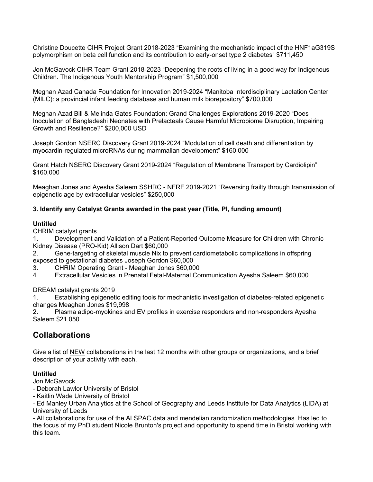Christine Doucette CIHR Project Grant 2018-2023 "Examining the mechanistic impact of the HNF1aG319S polymorphism on beta cell function and its contribution to early-onset type 2 diabetes" \$711,450

Jon McGavock CIHR Team Grant 2018-2023 "Deepening the roots of living in a good way for Indigenous Children. The Indigenous Youth Mentorship Program" \$1,500,000

Meghan Azad Canada Foundation for Innovation 2019-2024 "Manitoba Interdisciplinary Lactation Center (MILC): a provincial infant feeding database and human milk biorepository" \$700,000

Meghan Azad Bill & Melinda Gates Foundation: Grand Challenges Explorations 2019-2020 "Does Inoculation of Bangladeshi Neonates with Prelacteals Cause Harmful Microbiome Disruption, Impairing Growth and Resilience?" \$200,000 USD

Joseph Gordon NSERC Discovery Grant 2019-2024 "Modulation of cell death and differentiation by myocardin-regulated microRNAs during mammalian development" \$160,000

Grant Hatch NSERC Discovery Grant 2019-2024 "Regulation of Membrane Transport by Cardiolipin" \$160,000

Meaghan Jones and Ayesha Saleem SSHRC - NFRF 2019-2021 "Reversing frailty through transmission of epigenetic age by extracellular vesicles" \$250,000

#### **3. Identify any Catalyst Grants awarded in the past year (Title, PI, funding amount)**

#### **Untitled**

CHRIM catalyst grants

1. Development and Validation of a Patient-Reported Outcome Measure for Children with Chronic Kidney Disease (PRO-Kid) Allison Dart \$60,000

2. Gene-targeting of skeletal muscle Nix to prevent cardiometabolic complications in offspring exposed to gestational diabetes Joseph Gordon \$60,000

3. CHRIM Operating Grant - Meaghan Jones \$60,000

4. Extracellular Vesicles in Prenatal Fetal-Maternal Communication Ayesha Saleem \$60,000

DREAM catalyst grants 2019

1. Establishing epigenetic editing tools for mechanistic investigation of diabetes-related epigenetic changes Meaghan Jones \$19,998

2. Plasma adipo-myokines and EV profiles in exercise responders and non-responders Ayesha Saleem \$21,050

### **Collaborations**

Give a list of NEW collaborations in the last 12 months with other groups or organizations, and a brief description of your activity with each.

#### **Untitled**

Jon McGavock

- Deborah Lawlor University of Bristol

- Kaitlin Wade University of Bristol

- Ed Manley Urban Analytics at the School of Geography and Leeds Institute for Data Analytics (LIDA) at University of Leeds

- All collaborations for use of the ALSPAC data and mendelian randomization methodologies. Has led to the focus of my PhD student Nicole Brunton's project and opportunity to spend time in Bristol working with this team.